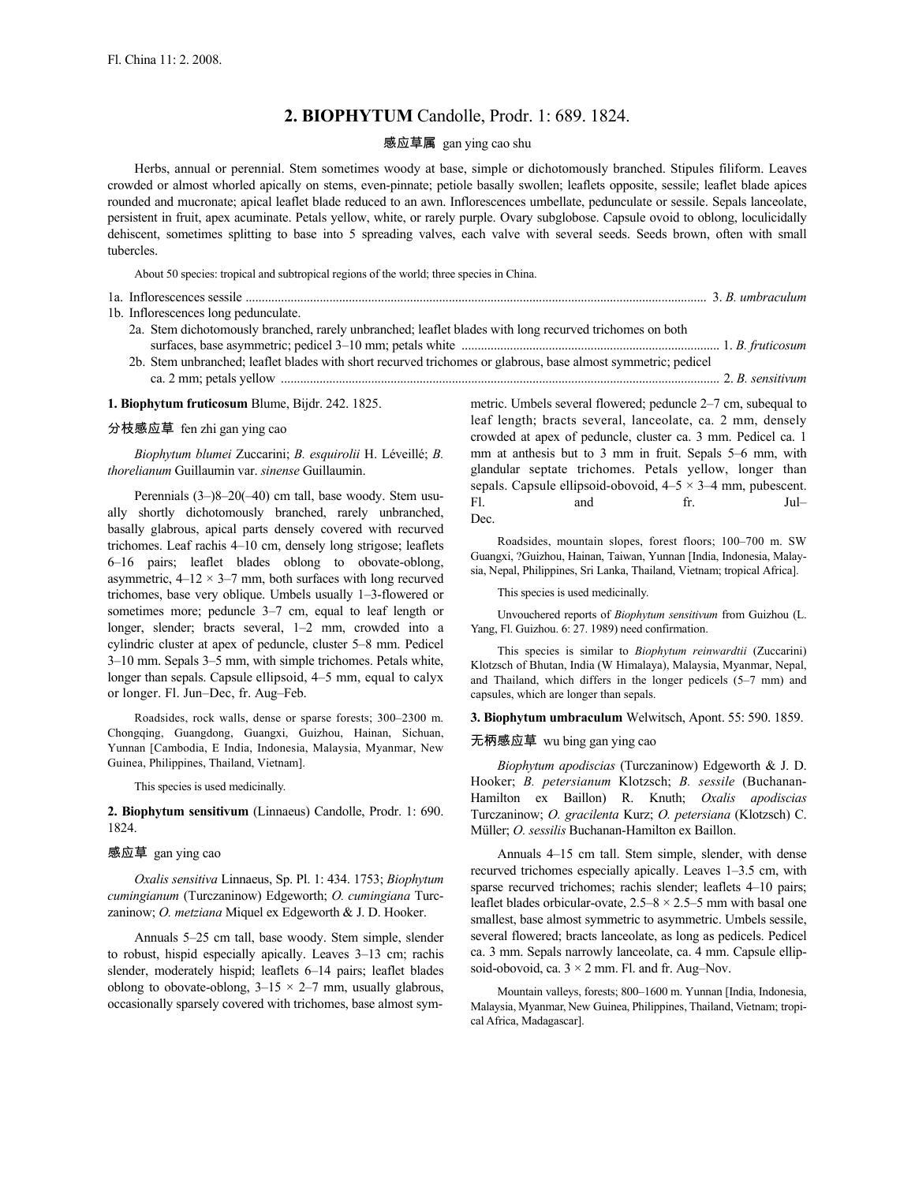# **2. BIOPHYTUM** Candolle, Prodr. 1: 689. 1824.

#### 感应草属 gan ying cao shu

Herbs, annual or perennial. Stem sometimes woody at base, simple or dichotomously branched. Stipules filiform. Leaves crowded or almost whorled apically on stems, even-pinnate; petiole basally swollen; leaflets opposite, sessile; leaflet blade apices rounded and mucronate; apical leaflet blade reduced to an awn. Inflorescences umbellate, pedunculate or sessile. Sepals lanceolate, persistent in fruit, apex acuminate. Petals yellow, white, or rarely purple. Ovary subglobose. Capsule ovoid to oblong, loculicidally dehiscent, sometimes splitting to base into 5 spreading valves, each valve with several seeds. Seeds brown, often with small tubercles.

About 50 species: tropical and subtropical regions of the world; three species in China.

|  | 1b. Inflorescences long pedunculate.                                                                          |  |
|--|---------------------------------------------------------------------------------------------------------------|--|
|  | 2a. Stem dichotomously branched, rarely unbranched; leaflet blades with long recurved trichomes on both       |  |
|  |                                                                                                               |  |
|  | 2b. Stem unbranched; leaflet blades with short recurved trichomes or glabrous, base almost symmetric; pedicel |  |
|  |                                                                                                               |  |
|  |                                                                                                               |  |

**1. Biophytum fruticosum** Blume, Bijdr. 242. 1825.

## 分枝感应草 fen zhi gan ying cao

*Biophytum blumei* Zuccarini; *B. esquirolii* H. Léveillé; *B. thorelianum* Guillaumin var. *sinense* Guillaumin.

Perennials (3–)8–20(–40) cm tall, base woody. Stem usually shortly dichotomously branched, rarely unbranched, basally glabrous, apical parts densely covered with recurved trichomes. Leaf rachis 4–10 cm, densely long strigose; leaflets 6–16 pairs; leaflet blades oblong to obovate-oblong, asymmetric,  $4-12 \times 3-7$  mm, both surfaces with long recurved trichomes, base very oblique. Umbels usually 1–3-flowered or sometimes more; peduncle 3–7 cm, equal to leaf length or longer, slender; bracts several, 1–2 mm, crowded into a cylindric cluster at apex of peduncle, cluster 5–8 mm. Pedicel 3–10 mm. Sepals 3–5 mm, with simple trichomes. Petals white, longer than sepals. Capsule ellipsoid, 4–5 mm, equal to calyx or longer. Fl. Jun–Dec, fr. Aug–Feb.

Roadsides, rock walls, dense or sparse forests; 300–2300 m. Chongqing, Guangdong, Guangxi, Guizhou, Hainan, Sichuan, Yunnan [Cambodia, E India, Indonesia, Malaysia, Myanmar, New Guinea, Philippines, Thailand, Vietnam].

This species is used medicinally.

**2. Biophytum sensitivum** (Linnaeus) Candolle, Prodr. 1: 690. 1824.

#### 感应草 gan ying cao

*Oxalis sensitiva* Linnaeus, Sp. Pl. 1: 434. 1753; *Biophytum cumingianum* (Turczaninow) Edgeworth; *O. cumingiana* Turczaninow; *O. metziana* Miquel ex Edgeworth & J. D. Hooker.

Annuals 5–25 cm tall, base woody. Stem simple, slender to robust, hispid especially apically. Leaves 3–13 cm; rachis slender, moderately hispid; leaflets 6–14 pairs; leaflet blades oblong to obovate-oblong,  $3-15 \times 2-7$  mm, usually glabrous, occasionally sparsely covered with trichomes, base almost symmetric. Umbels several flowered; peduncle 2–7 cm, subequal to leaf length; bracts several, lanceolate, ca. 2 mm, densely crowded at apex of peduncle, cluster ca. 3 mm. Pedicel ca. 1 mm at anthesis but to 3 mm in fruit. Sepals 5–6 mm, with glandular septate trichomes. Petals yellow, longer than sepals. Capsule ellipsoid-obovoid, 4–5 × 3–4 mm, pubescent. Fl. and fr. Jul– Dec.

Roadsides, mountain slopes, forest floors; 100–700 m. SW Guangxi, ?Guizhou, Hainan, Taiwan, Yunnan [India, Indonesia, Malaysia, Nepal, Philippines, Sri Lanka, Thailand, Vietnam; tropical Africa].

This species is used medicinally.

Unvouchered reports of *Biophytum sensitivum* from Guizhou (L. Yang, Fl. Guizhou. 6: 27. 1989) need confirmation.

This species is similar to *Biophytum reinwardtii* (Zuccarini) Klotzsch of Bhutan, India (W Himalaya), Malaysia, Myanmar, Nepal, and Thailand, which differs in the longer pedicels (5–7 mm) and capsules, which are longer than sepals.

**3. Biophytum umbraculum** Welwitsch, Apont. 55: 590. 1859.

## 无柄感应草 wu bing gan ying cao

*Biophytum apodiscias* (Turczaninow) Edgeworth & J. D. Hooker; *B. petersianum* Klotzsch; *B. sessile* (Buchanan-Hamilton ex Baillon) R. Knuth; *Oxalis apodiscias* Turczaninow; *O. gracilenta* Kurz; *O. petersiana* (Klotzsch) C. Müller; *O. sessilis* Buchanan-Hamilton ex Baillon.

Annuals 4–15 cm tall. Stem simple, slender, with dense recurved trichomes especially apically. Leaves 1–3.5 cm, with sparse recurved trichomes; rachis slender; leaflets 4–10 pairs; leaflet blades orbicular-ovate,  $2.5-8 \times 2.5-5$  mm with basal one smallest, base almost symmetric to asymmetric. Umbels sessile, several flowered; bracts lanceolate, as long as pedicels. Pedicel ca. 3 mm. Sepals narrowly lanceolate, ca. 4 mm. Capsule ellipsoid-obovoid, ca.  $3 \times 2$  mm. Fl. and fr. Aug–Nov.

Mountain valleys, forests; 800–1600 m. Yunnan [India, Indonesia, Malaysia, Myanmar, New Guinea, Philippines, Thailand, Vietnam; tropical Africa, Madagascar].